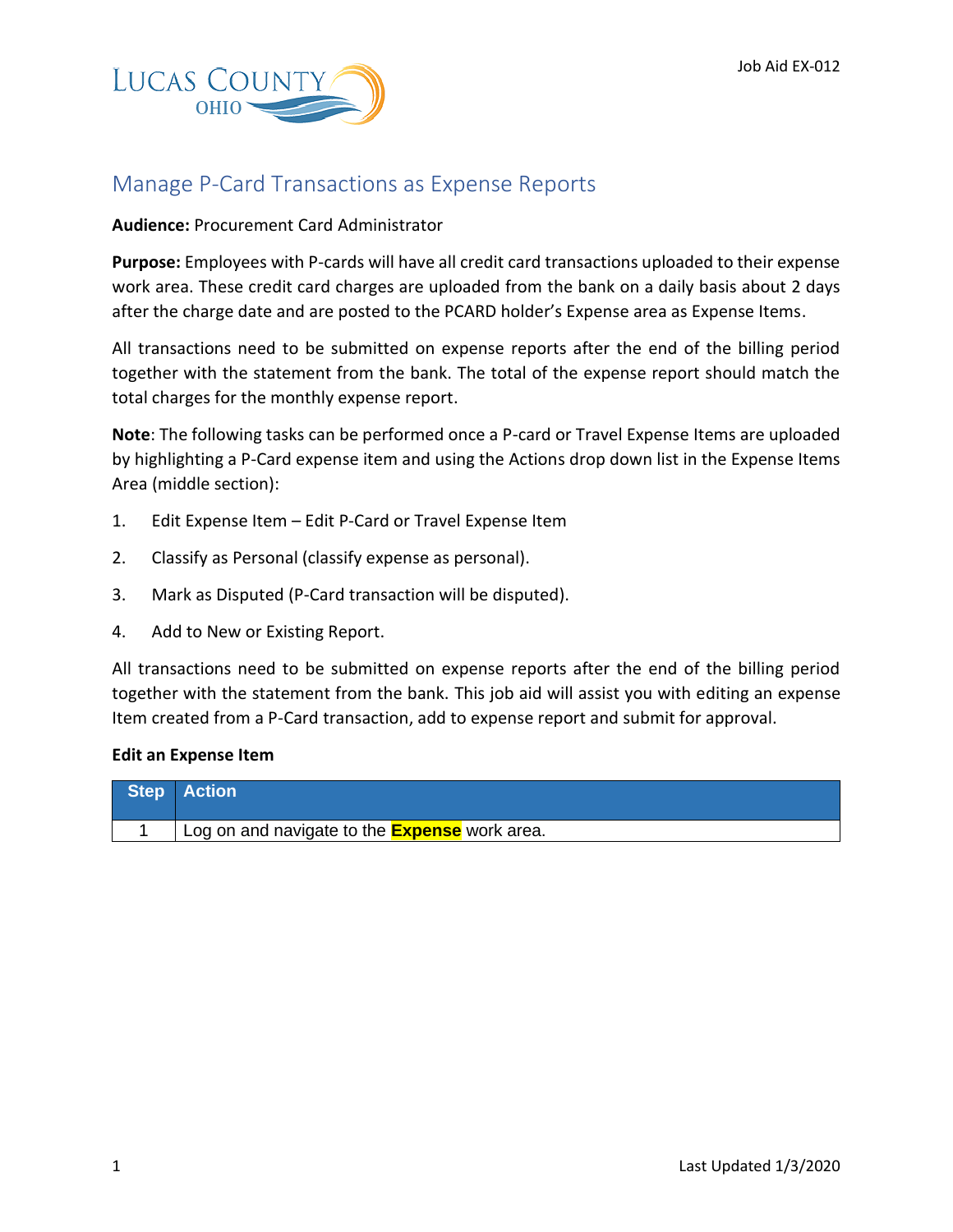

## Manage P-Card Transactions as Expense Reports

## **Audience:** Procurement Card Administrator

**Purpose:** Employees with P-cards will have all credit card transactions uploaded to their expense work area. These credit card charges are uploaded from the bank on a daily basis about 2 days after the charge date and are posted to the PCARD holder's Expense area as Expense Items.

All transactions need to be submitted on expense reports after the end of the billing period together with the statement from the bank. The total of the expense report should match the total charges for the monthly expense report.

**Note**: The following tasks can be performed once a P-card or Travel Expense Items are uploaded by highlighting a P-Card expense item and using the Actions drop down list in the Expense Items Area (middle section):

- 1. Edit Expense Item Edit P-Card or Travel Expense Item
- 2. Classify as Personal (classify expense as personal).
- 3. Mark as Disputed (P-Card transaction will be disputed).
- 4. Add to New or Existing Report.

All transactions need to be submitted on expense reports after the end of the billing period together with the statement from the bank. This job aid will assist you with editing an expense Item created from a P-Card transaction, add to expense report and submit for approval.

## **Edit an Expense Item**

| <b>Step Action</b>                                     |
|--------------------------------------------------------|
| ' Log on and navigate to the <i>Expense</i> work area. |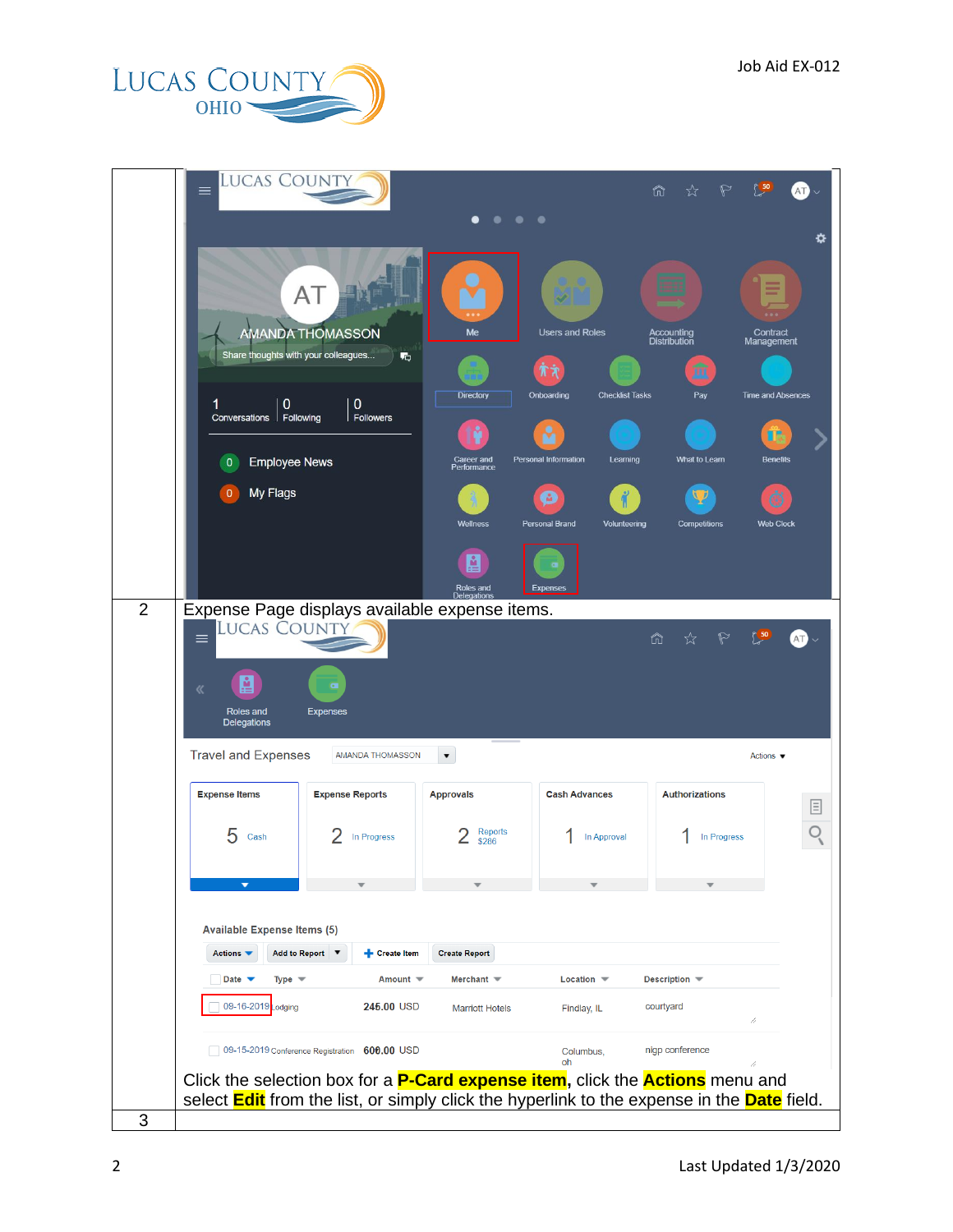

|                | <b>LUCAS COUNTY</b><br>$\equiv$                                                                                                                                                                          |                                                  |                                            | ⋒<br>☆                                               |     |
|----------------|----------------------------------------------------------------------------------------------------------------------------------------------------------------------------------------------------------|--------------------------------------------------|--------------------------------------------|------------------------------------------------------|-----|
|                |                                                                                                                                                                                                          |                                                  | .                                          |                                                      | ≎   |
|                | AT<br>里<br><b>AMANDA THOMASSON</b>                                                                                                                                                                       | Me                                               | <b>Users and Roles</b>                     | Accounting<br>Distribution<br>Contract<br>Management |     |
|                | Share thoughts with your colleagues                                                                                                                                                                      | 喝<br><b>Directory</b>                            | ЖŘ<br>Onboarding<br><b>Checklist Tasks</b> | m<br>Pay<br><b>Time and Absences</b>                 |     |
|                | $\mathbf{0}$<br>1<br>Conversations   Following                                                                                                                                                           | $\mathbf{0}$<br><b>Followers</b>                 |                                            |                                                      |     |
|                | <b>Employee News</b><br>$\mathbf{0}$                                                                                                                                                                     | Career and<br>Performance                        | Personal Information<br>Learning           | <b>Benefits</b><br>What to Learn                     |     |
|                | My Flags<br>$\mathbf{0}$                                                                                                                                                                                 | Wellness                                         | M<br><b>Personal Brand</b><br>Volunteering | Competitions<br><b>Web Clock</b>                     |     |
|                |                                                                                                                                                                                                          | A.<br>Roles and<br><b>Delegations</b>            | Expenses                                   |                                                      |     |
| $\overline{2}$ | Expense Page displays available expense items.<br><b>LUCAS COUNTY</b><br>$\equiv$                                                                                                                        |                                                  | ⋒                                          | 50<br>☆<br>$\triangleright$                          | AT) |
|                | A<br>《<br>Roles and<br><b>Expenses</b><br><b>Delegations</b>                                                                                                                                             |                                                  |                                            |                                                      |     |
|                | <b>Travel and Expenses</b>                                                                                                                                                                               | <b>AMANDA THOMASSON</b><br>$\blacktriangledown$  |                                            | Actions $\blacktriangledown$                         |     |
|                | <b>Expense Items</b><br><b>Expense Reports</b>                                                                                                                                                           | <b>Approvals</b>                                 | <b>Cash Advances</b>                       | <b>Authorizations</b>                                | 目   |
|                | 5<br>Cash                                                                                                                                                                                                | <b>Reports</b><br>In Progress<br>\$286           | In Approval                                | In Progress                                          |     |
|                |                                                                                                                                                                                                          |                                                  |                                            |                                                      |     |
|                |                                                                                                                                                                                                          |                                                  |                                            |                                                      |     |
|                | <b>Available Expense Items (5)</b>                                                                                                                                                                       |                                                  |                                            |                                                      |     |
|                | Actions $\blacktriangledown$<br>Add to Report ▼                                                                                                                                                          | Create Item<br><b>Create Report</b>              |                                            |                                                      |     |
|                | Date $\sqrt{}$<br>Type $\mathbf$                                                                                                                                                                         | Merchant $\equiv$<br>Amount $\blacktriangledown$ | Location $\blacktriangledown$              | Description $\blacktriangledown$                     |     |
|                | 09-16-2019 _odging                                                                                                                                                                                       | 245.00 USD<br><b>Marriott Hotels</b>             | Findlay, IL                                | courtyard<br>//                                      |     |
|                | 09-15-2019 Conference Registration 600.00 USD                                                                                                                                                            |                                                  | Columbus,<br>oh                            | nigp conference                                      |     |
|                | Click the selection box for a <b>P-Card expense item</b> , click the <b>Actions</b> menu and<br>select <b>Edit</b> from the list, or simply click the hyperlink to the expense in the <b>Date</b> field. |                                                  |                                            |                                                      |     |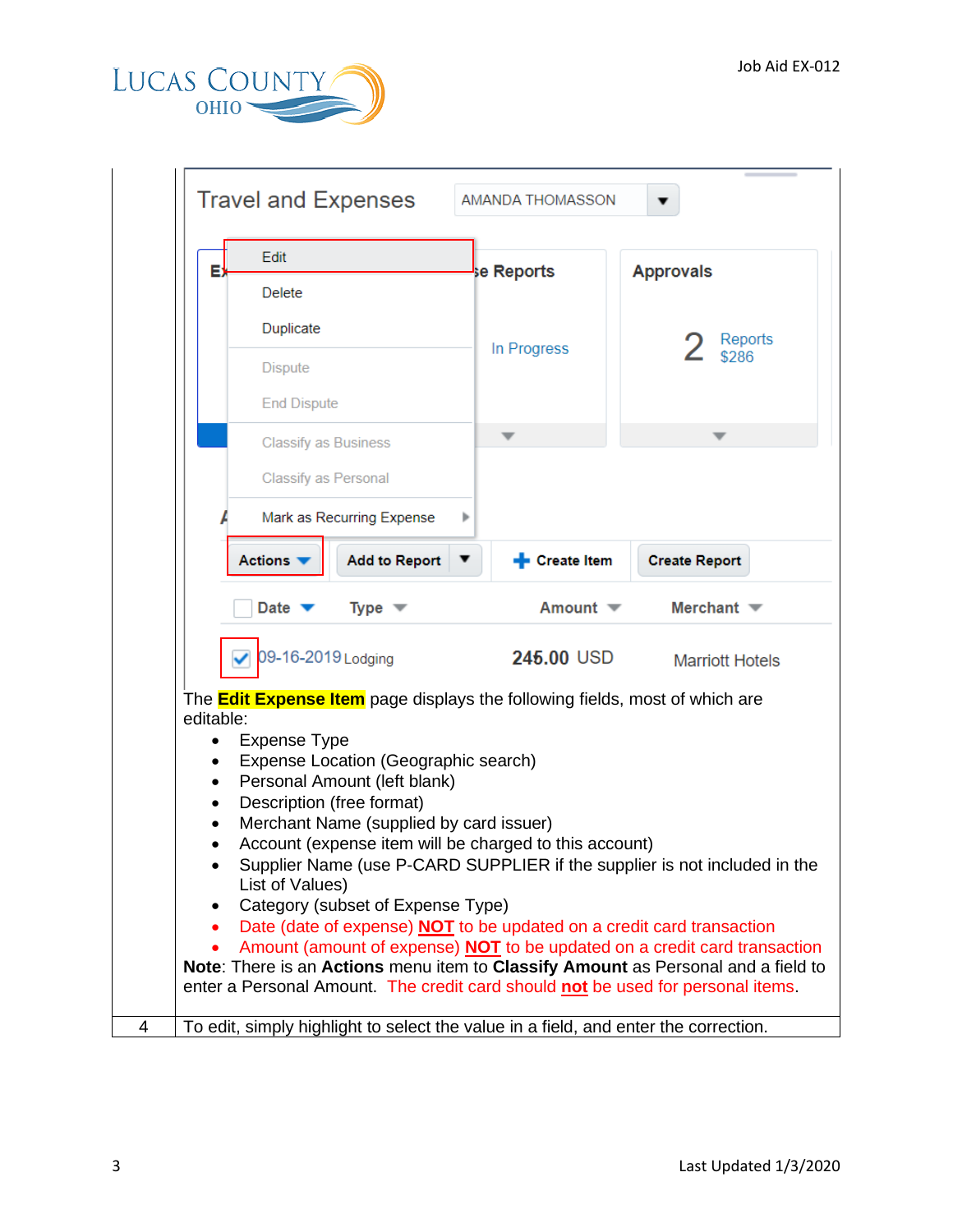

| E) | Edit                                                                               |  | se Reports          | <b>Approvals</b>     |  |  |  |  |
|----|------------------------------------------------------------------------------------|--|---------------------|----------------------|--|--|--|--|
|    | <b>Delete</b>                                                                      |  |                     |                      |  |  |  |  |
|    | Duplicate                                                                          |  | In Progress         | Reports              |  |  |  |  |
|    | <b>Dispute</b>                                                                     |  |                     | \$286                |  |  |  |  |
|    | <b>End Dispute</b>                                                                 |  |                     |                      |  |  |  |  |
|    | <b>Classify as Business</b>                                                        |  |                     |                      |  |  |  |  |
|    | Classify as Personal                                                               |  |                     |                      |  |  |  |  |
|    | Mark as Recurring Expense                                                          |  |                     |                      |  |  |  |  |
|    | <b>Add to Report</b><br><b>Actions</b>                                             |  | <b>Execute Item</b> | <b>Create Report</b> |  |  |  |  |
|    | 09-16-2019 Lodging<br><b>245.00 USD</b><br><b>Marriott Hotels</b>                  |  |                     |                      |  |  |  |  |
|    | The <b>Edit Expense Item</b> page displays the following fields, most of which are |  |                     |                      |  |  |  |  |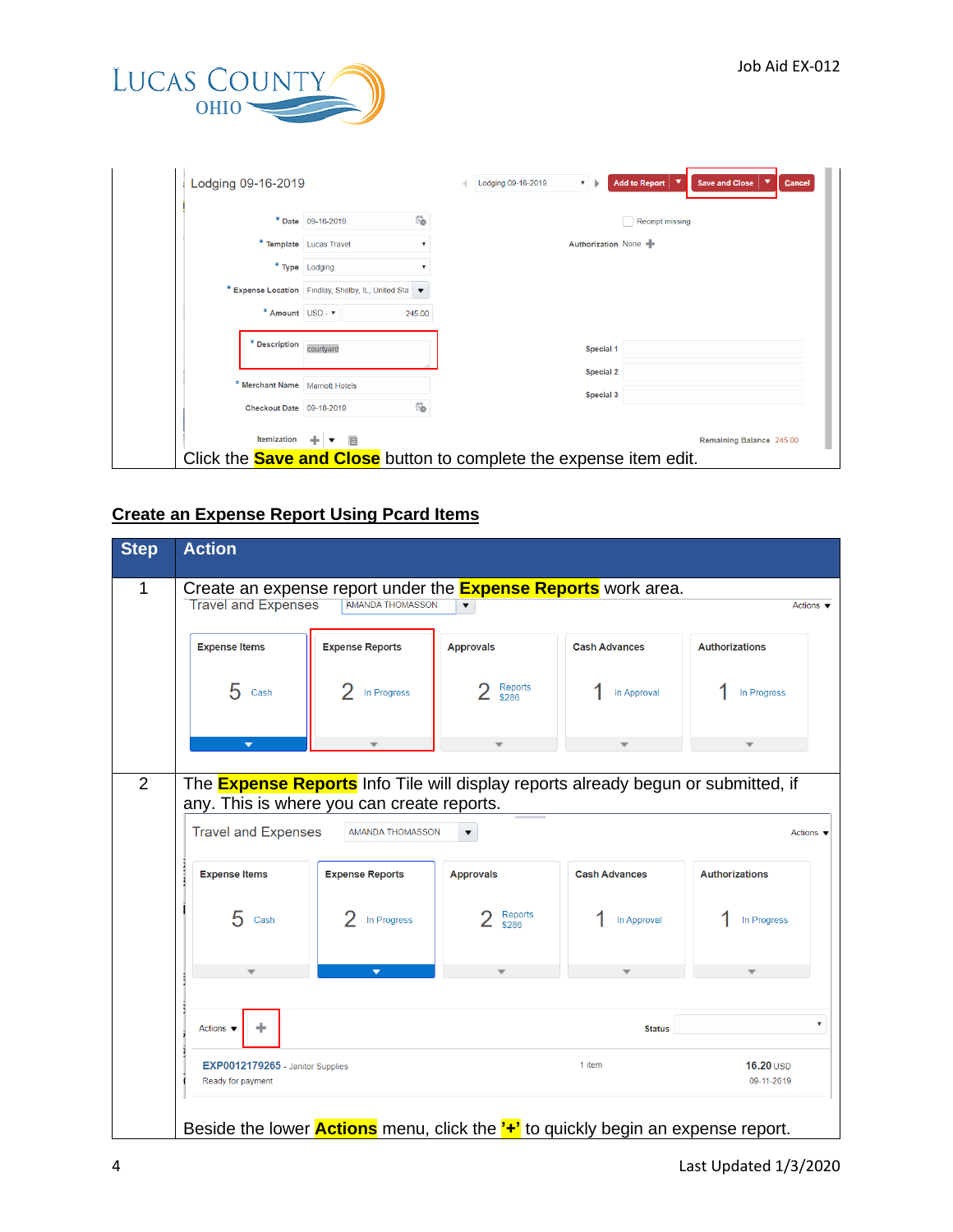

| Lodging 09-16-2019                                 | <b>Add to Report</b><br>$\overline{\phantom{a}}$<br><b>Save and Close</b><br>Lodging 09-16-2019<br>Cancel<br>$\mathbf{v}$ |
|----------------------------------------------------|---------------------------------------------------------------------------------------------------------------------------|
| Ë<br>* Date 09-16-2019                             | <b>Receipt missing</b>                                                                                                    |
| * Template Lucas Travel                            | Authorization None                                                                                                        |
| * Type Lodging                                     |                                                                                                                           |
| * Expense Location Findlay, Shelby, IL, United Sta |                                                                                                                           |
| * Amount USD - $\bm{v}$<br>245.00                  |                                                                                                                           |
| * Description<br>courtyard                         | Special 1                                                                                                                 |
| * Merchant Name Marriott Hotels                    | <b>Special 2</b>                                                                                                          |
| Ëò<br>Checkout Date 09-18-2019                     | Special 3                                                                                                                 |
| Itemization<br>+ ▼ 目                               | Remaining Balance 245.00                                                                                                  |

## **Create an Expense Report Using Pcard Items**

| <b>Step</b>    | <b>Action</b>                                                                                                                                                 |                          |                          |                                                                                         |                              |   |  |  |
|----------------|---------------------------------------------------------------------------------------------------------------------------------------------------------------|--------------------------|--------------------------|-----------------------------------------------------------------------------------------|------------------------------|---|--|--|
| 1              | Create an expense report under the <b>Expense Reports</b> work area.<br><b>Travel and Expenses</b><br><b>AMANDA THOMASSON</b><br>Actions $\blacktriangledown$ |                          |                          |                                                                                         |                              |   |  |  |
|                | <b>Expense Items</b>                                                                                                                                          | <b>Expense Reports</b>   | <b>Approvals</b>         | <b>Cash Advances</b>                                                                    | <b>Authorizations</b>        |   |  |  |
|                | 5<br>Cash                                                                                                                                                     | In Progress              | Reports<br>\$286         | In Approval                                                                             | In Progress                  |   |  |  |
|                |                                                                                                                                                               |                          |                          |                                                                                         |                              |   |  |  |
| $\overline{2}$ | The <b>Expense Reports</b> Info Tile will display reports already begun or submitted, if<br>any. This is where you can create reports.                        |                          |                          |                                                                                         |                              |   |  |  |
|                | <b>Travel and Expenses</b>                                                                                                                                    | AMANDA THOMASSON         | $\overline{\phantom{a}}$ |                                                                                         | Actions $\blacktriangledown$ |   |  |  |
|                | <b>Expense Items</b>                                                                                                                                          | <b>Expense Reports</b>   | <b>Approvals</b>         | <b>Cash Advances</b>                                                                    | <b>Authorizations</b>        |   |  |  |
|                | 5<br>Cash                                                                                                                                                     | In Progress              | Reports<br>\$286         | In Approval                                                                             | In Progress                  |   |  |  |
|                |                                                                                                                                                               | $\overline{\phantom{a}}$ |                          |                                                                                         |                              |   |  |  |
|                | ÷<br>Actions $\blacktriangledown$                                                                                                                             |                          |                          | <b>Status</b>                                                                           |                              | 7 |  |  |
|                | EXP0012179265 - Janitor Supplies<br>Ready for payment                                                                                                         |                          |                          | 1 item                                                                                  | $16.20$ USD<br>09-11-2019    |   |  |  |
|                |                                                                                                                                                               |                          |                          | Beside the lower <b>Actions</b> menu, click the '+' to quickly begin an expense report. |                              |   |  |  |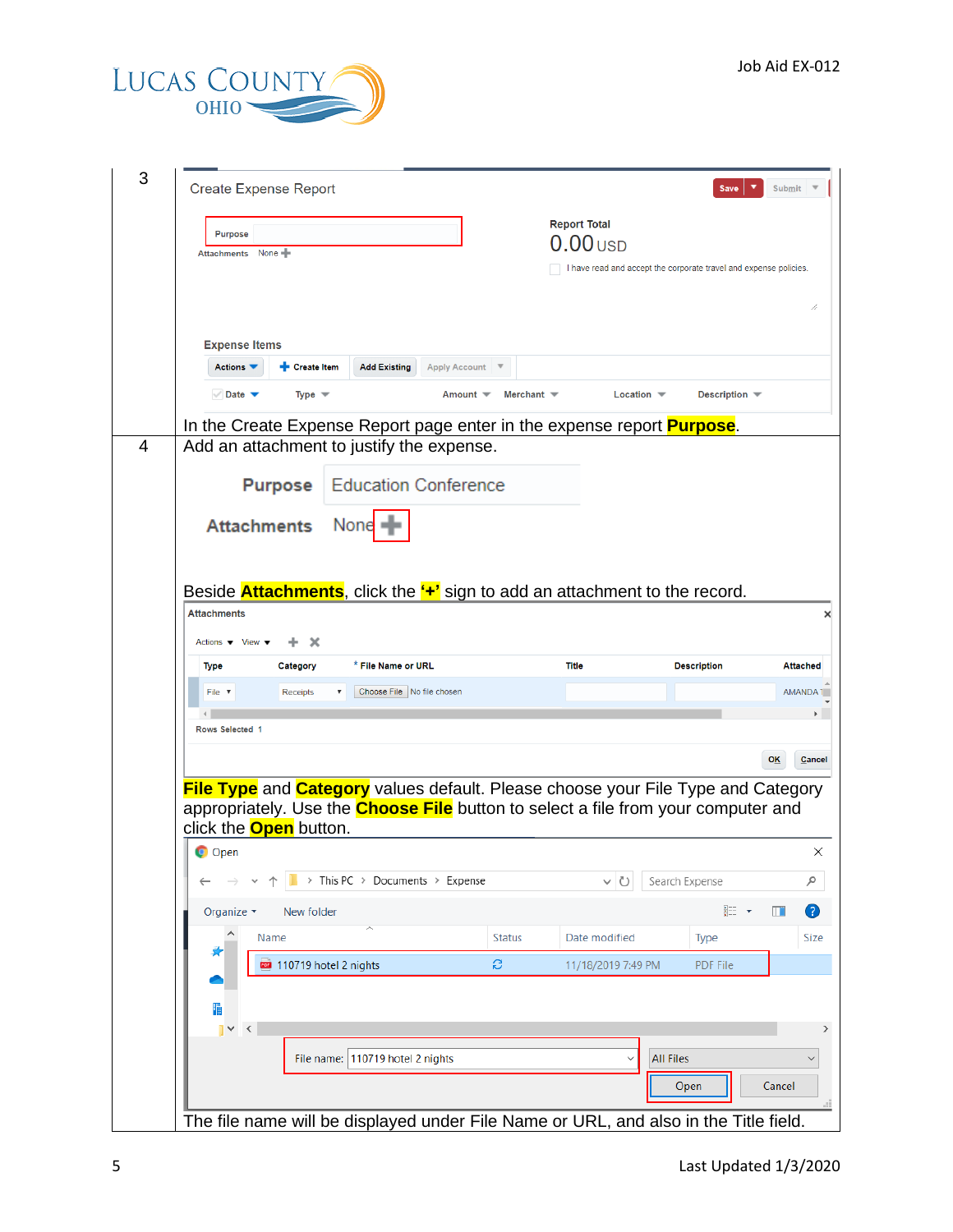

| <b>Create Expense Report</b>                           |                                           |                                    |                                                                                                                                                                                            |                                                                   |                               |                            |
|--------------------------------------------------------|-------------------------------------------|------------------------------------|--------------------------------------------------------------------------------------------------------------------------------------------------------------------------------------------|-------------------------------------------------------------------|-------------------------------|----------------------------|
| <b>Purpose</b><br><b>Attachments</b>                   | None $\blacksquare$                       |                                    |                                                                                                                                                                                            | <b>Report Total</b><br>$0.00$ USD                                 |                               |                            |
|                                                        |                                           |                                    |                                                                                                                                                                                            | I have read and accept the corporate travel and expense policies. |                               |                            |
|                                                        |                                           |                                    |                                                                                                                                                                                            |                                                                   |                               |                            |
| <b>Expense Items</b><br>Actions V                      | <b>+</b> Create Item                      | <b>Add Existing</b>                | <b>Apply Account</b>                                                                                                                                                                       |                                                                   |                               |                            |
| $\vee$ Date $\blacktriangledown$                       | Type $\mathbf$                            |                                    | Amount $\blacktriangledown$<br>Merchant $\equiv$                                                                                                                                           |                                                                   | Location $\blacktriangledown$ | Description $\blacksquare$ |
|                                                        |                                           |                                    | In the Create Expense Report page enter in the expense report <b>Purpose</b> .                                                                                                             |                                                                   |                               |                            |
|                                                        | Add an attachment to justify the expense. |                                    |                                                                                                                                                                                            |                                                                   |                               |                            |
|                                                        | <b>Purpose</b>                            | <b>Education Conference</b>        |                                                                                                                                                                                            |                                                                   |                               |                            |
|                                                        |                                           |                                    |                                                                                                                                                                                            |                                                                   |                               |                            |
| <b>Attachments</b>                                     |                                           | None                               |                                                                                                                                                                                            |                                                                   |                               |                            |
|                                                        |                                           |                                    |                                                                                                                                                                                            |                                                                   |                               |                            |
|                                                        |                                           |                                    |                                                                                                                                                                                            |                                                                   |                               |                            |
|                                                        |                                           |                                    |                                                                                                                                                                                            |                                                                   |                               |                            |
| <b>Attachments</b>                                     |                                           |                                    | Beside <b>Attachments</b> , click the " <sup>+</sup> " sign to add an attachment to the record.                                                                                            |                                                                   |                               |                            |
| Actions $\blacktriangledown$ View $\blacktriangledown$ | x                                         |                                    |                                                                                                                                                                                            |                                                                   |                               |                            |
| <b>Type</b>                                            | Category                                  | * File Name or URL                 |                                                                                                                                                                                            | <b>Title</b>                                                      | <b>Description</b>            |                            |
| File $\sqrt{ }$                                        | Receipts                                  | Choose File No file chosen         |                                                                                                                                                                                            |                                                                   |                               |                            |
|                                                        |                                           |                                    |                                                                                                                                                                                            |                                                                   |                               |                            |
| Rows Selected 1                                        |                                           |                                    |                                                                                                                                                                                            |                                                                   |                               |                            |
|                                                        |                                           |                                    |                                                                                                                                                                                            |                                                                   |                               |                            |
|                                                        | click the <b>Open</b> button.             |                                    | <b>File Type</b> and <b>Category</b> values default. Please choose your File Type and Category<br>appropriately. Use the <b>Choose File</b> button to select a file from your computer and |                                                                   |                               |                            |
| O Open                                                 |                                           | > This PC > Documents > Expense    |                                                                                                                                                                                            | ∨ U                                                               | Search Expense                |                            |
| Organize $\blacktriangledown$                          | New folder                                |                                    |                                                                                                                                                                                            |                                                                   |                               | 鼯 ▼                        |
|                                                        | Name                                      |                                    | <b>Status</b>                                                                                                                                                                              | Date modified                                                     |                               | <b>Type</b>                |
|                                                        | 110719 hotel 2 nights                     |                                    | S                                                                                                                                                                                          |                                                                   |                               | <b>PDF File</b>            |
|                                                        |                                           |                                    |                                                                                                                                                                                            | 11/18/2019 7:49 PM                                                |                               |                            |
| 憚                                                      |                                           |                                    |                                                                                                                                                                                            |                                                                   |                               |                            |
| $\vert \vee \vert <$                                   |                                           |                                    |                                                                                                                                                                                            |                                                                   |                               |                            |
|                                                        |                                           | File name:   110719 hotel 2 nights |                                                                                                                                                                                            |                                                                   | <b>All Files</b>              |                            |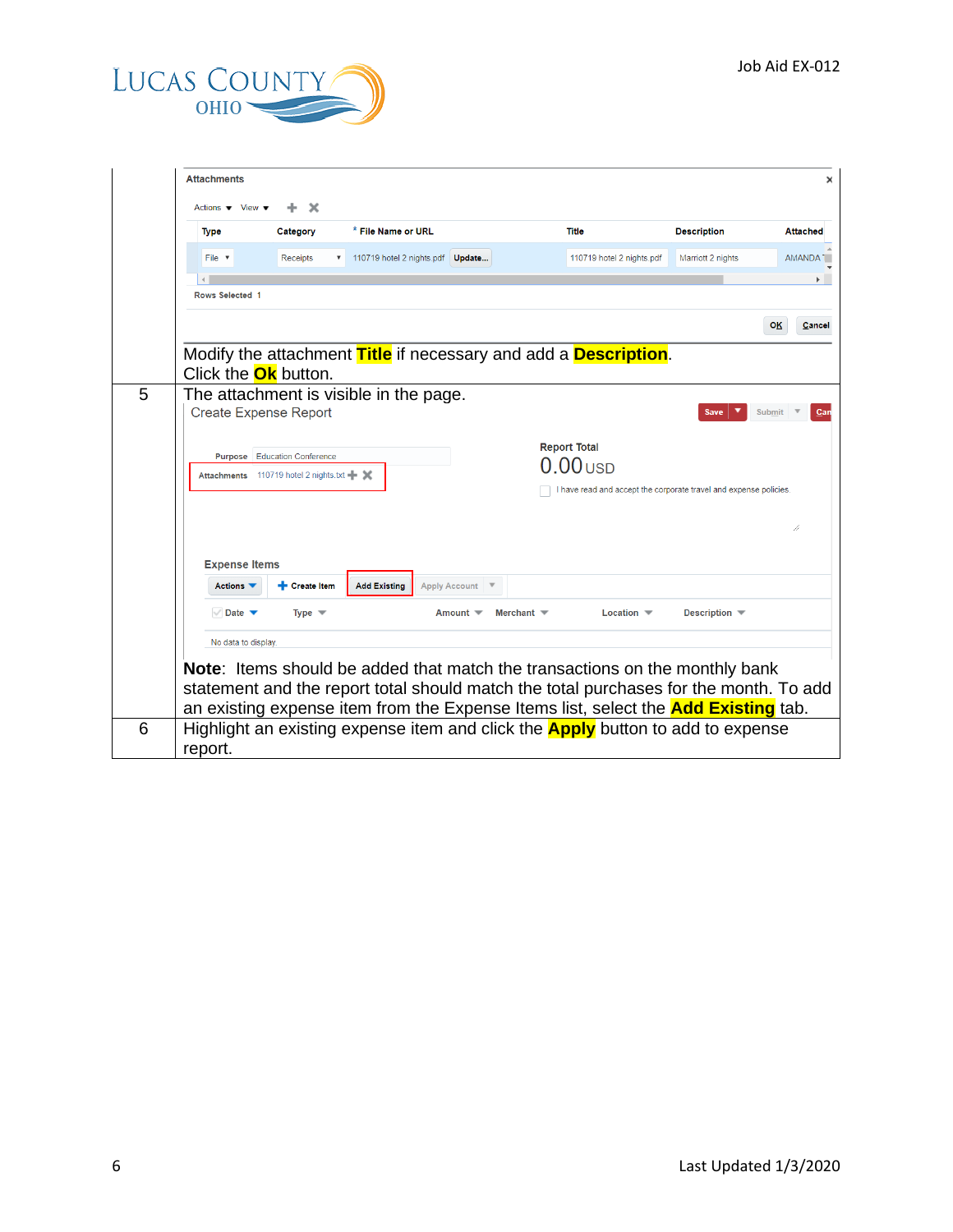

|   | <b>Attachments</b>                                     |                                           |                                        |                      |                   |                                                                                           |                    | ×                    |
|---|--------------------------------------------------------|-------------------------------------------|----------------------------------------|----------------------|-------------------|-------------------------------------------------------------------------------------------|--------------------|----------------------|
|   | Actions $\blacktriangledown$ View $\blacktriangledown$ | x                                         |                                        |                      |                   |                                                                                           |                    |                      |
|   | <b>Type</b>                                            | Category                                  | * File Name or URL                     |                      |                   | <b>Title</b>                                                                              | <b>Description</b> | <b>Attached</b>      |
|   | File v                                                 | <b>Receipts</b>                           | 110719 hotel 2 nights.pdf Update       |                      |                   | 110719 hotel 2 nights.pdf                                                                 | Marriott 2 nights  | AMANDA <sub>1</sub>  |
|   | <b>Rows Selected 1</b>                                 |                                           |                                        |                      |                   |                                                                                           |                    |                      |
|   |                                                        |                                           |                                        |                      |                   |                                                                                           |                    |                      |
|   |                                                        |                                           |                                        |                      |                   |                                                                                           |                    | <b>OK</b><br>Cancel  |
|   |                                                        |                                           |                                        |                      |                   | Modify the attachment Title if necessary and add a Description.                           |                    |                      |
| 5 | Click the <b>Ok</b> button.                            |                                           |                                        |                      |                   |                                                                                           |                    |                      |
|   | <b>Create Expense Report</b>                           |                                           | The attachment is visible in the page. |                      |                   |                                                                                           | Save               | <b>Submit</b><br>Can |
|   |                                                        |                                           |                                        |                      |                   |                                                                                           |                    |                      |
|   |                                                        | <b>Purpose</b> Education Conference       |                                        |                      |                   | <b>Report Total</b><br>$0.00$ usp                                                         |                    |                      |
|   |                                                        | Attachments 110719 hotel 2 nights.txt - X |                                        |                      |                   | I have read and accept the corporate travel and expense policies.                         |                    |                      |
|   |                                                        |                                           |                                        |                      |                   |                                                                                           |                    |                      |
|   |                                                        |                                           |                                        |                      |                   |                                                                                           |                    | //                   |
|   | <b>Expense Items</b>                                   |                                           |                                        |                      |                   |                                                                                           |                    |                      |
|   | Actions $\blacktriangledown$                           | <b>Create Item</b>                        | <b>Add Existing</b>                    | <b>Apply Account</b> |                   |                                                                                           |                    |                      |
|   | Date $\blacktriangledown$                              | Type $\equiv$                             |                                        | Amount $\equiv$      | Merchant $\equiv$ | Location $\blacktriangledown$                                                             | Description –      |                      |
|   | No data to display.                                    |                                           |                                        |                      |                   |                                                                                           |                    |                      |
|   |                                                        |                                           |                                        |                      |                   | <b>Note:</b> Items should be added that match the transactions on the monthly bank        |                    |                      |
|   |                                                        |                                           |                                        |                      |                   | statement and the report total should match the total purchases for the month. To add     |                    |                      |
|   |                                                        |                                           |                                        |                      |                   | an existing expense item from the Expense Items list, select the <b>Add Existing</b> tab. |                    |                      |
| 6 | report.                                                |                                           |                                        |                      |                   | Highlight an existing expense item and click the <b>Apply</b> button to add to expense    |                    |                      |